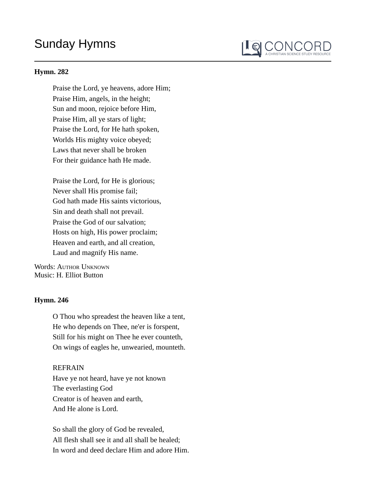# Sunday Hymns

#### **Hymn. 282**

Praise the Lord, ye heavens, adore Him; Praise Him, angels, in the height; Sun and moon, rejoice before Him, Praise Him, all ye stars of light; Praise the Lord, for He hath spoken, Worlds His mighty voice obeyed; Laws that never shall be broken For their guidance hath He made.

I Q CONCORL

Praise the Lord, for He is glorious; Never shall His promise fail; God hath made His saints victorious, Sin and death shall not prevail. Praise the God of our salvation; Hosts on high, His power proclaim; Heaven and earth, and all creation, Laud and magnify His name.

Words: AUTHOR UNKNOWN Music: H. Elliot Button

### **Hymn. 246**

O Thou who spreadest the heaven like a tent, He who depends on Thee, ne'er is forspent, Still for his might on Thee he ever counteth, On wings of eagles he, unwearied, mounteth.

### REFRAIN

Have ye not heard, have ye not known The everlasting God Creator is of heaven and earth, And He alone is Lord.

So shall the glory of God be revealed, All flesh shall see it and all shall be healed; In word and deed declare Him and adore Him.